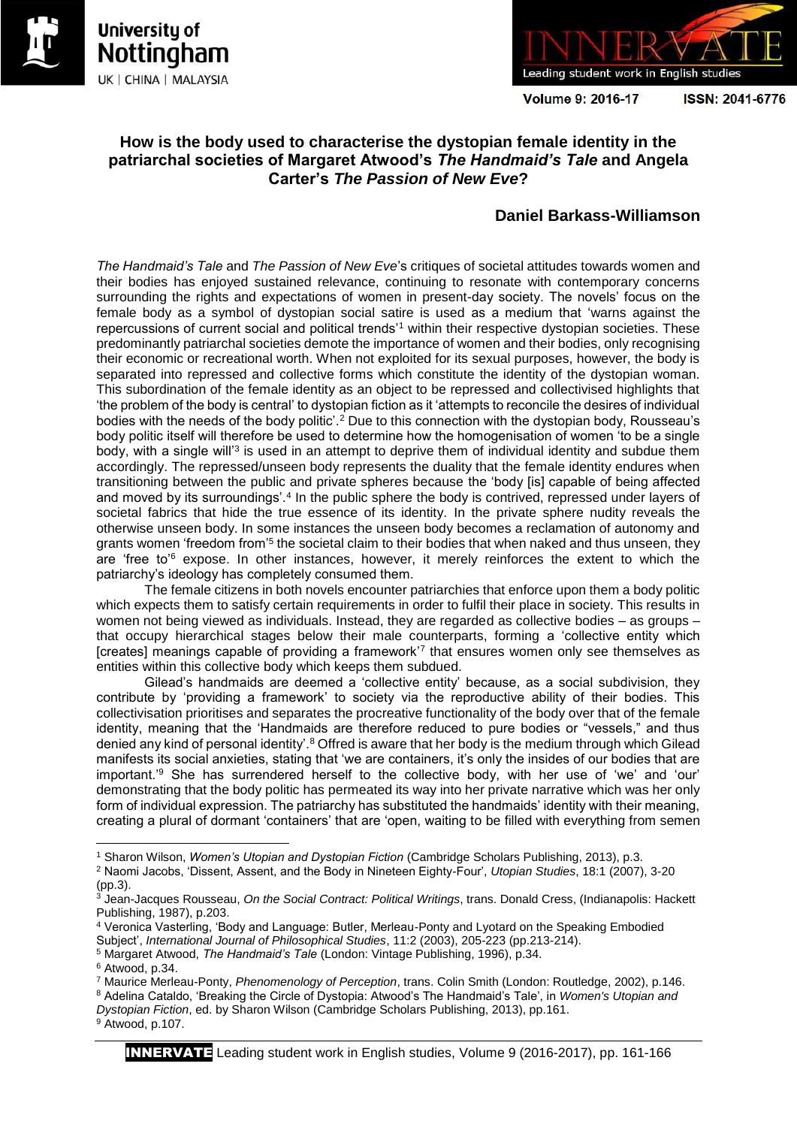



Volume 9: 2016-17

ISSN: 2041-6776

# **How is the body used to characterise the dystopian female identity in the patriarchal societies of Margaret Atwood's** *The Handmaid's Tale* **and Angela Carter's** *The Passion of New Eve***?**

## **Daniel Barkass-Williamson**

*The Handmaid's Tale* and *The Passion of New Eve*'s critiques of societal attitudes towards women and their bodies has enjoyed sustained relevance, continuing to resonate with contemporary concerns surrounding the rights and expectations of women in present-day society. The novels' focus on the female body as a symbol of dystopian social satire is used as a medium that 'warns against the repercussions of current social and political trends'<sup>1</sup> within their respective dystopian societies. These predominantly patriarchal societies demote the importance of women and their bodies, only recognising their economic or recreational worth. When not exploited for its sexual purposes, however, the body is separated into repressed and collective forms which constitute the identity of the dystopian woman. This subordination of the female identity as an object to be repressed and collectivised highlights that 'the problem of the body is central' to dystopian fiction as it 'attempts to reconcile the desires of individual bodies with the needs of the body politic'.<sup>2</sup> Due to this connection with the dystopian body, Rousseau's body politic itself will therefore be used to determine how the homogenisation of women 'to be a single body, with a single will<sup>3</sup> is used in an attempt to deprive them of individual identity and subdue them accordingly. The repressed/unseen body represents the duality that the female identity endures when transitioning between the public and private spheres because the 'body [is] capable of being affected and moved by its surroundings'.<sup>4</sup> In the public sphere the body is contrived, repressed under layers of societal fabrics that hide the true essence of its identity. In the private sphere nudity reveals the otherwise unseen body. In some instances the unseen body becomes a reclamation of autonomy and grants women 'freedom from'<sup>5</sup> the societal claim to their bodies that when naked and thus unseen, they are 'free to'<sup>6</sup> expose. In other instances, however, it merely reinforces the extent to which the patriarchy's ideology has completely consumed them.

The female citizens in both novels encounter patriarchies that enforce upon them a body politic which expects them to satisfy certain requirements in order to fulfil their place in society. This results in women not being viewed as individuals. Instead, they are regarded as collective bodies – as groups – that occupy hierarchical stages below their male counterparts, forming a 'collective entity which [creates] meanings capable of providing a framework<sup>7</sup> that ensures women only see themselves as entities within this collective body which keeps them subdued.

Gilead's handmaids are deemed a 'collective entity' because, as a social subdivision, they contribute by 'providing a framework' to society via the reproductive ability of their bodies. This collectivisation prioritises and separates the procreative functionality of the body over that of the female identity, meaning that the 'Handmaids are therefore reduced to pure bodies or "vessels," and thus denied any kind of personal identity'.<sup>8</sup> Offred is aware that her body is the medium through which Gilead manifests its social anxieties, stating that 'we are containers, it's only the insides of our bodies that are important.'<sup>9</sup> She has surrendered herself to the collective body, with her use of 'we' and 'our' demonstrating that the body politic has permeated its way into her private narrative which was her only form of individual expression. The patriarchy has substituted the handmaids' identity with their meaning, creating a plural of dormant 'containers' that are 'open, waiting to be filled with everything from semen

 $\overline{a}$ 

<sup>1</sup> Sharon Wilson, *Women's Utopian and Dystopian Fiction* (Cambridge Scholars Publishing, 2013), p.3.

<sup>2</sup> Naomi Jacobs, 'Dissent, Assent, and the Body in Nineteen Eighty-Four', *Utopian Studies*, 18:1 (2007), 3-20 (pp.3).

<sup>3</sup> Jean-Jacques Rousseau, *On the Social Contract: Political Writings*, trans. Donald Cress, (Indianapolis: Hackett Publishing, 1987), p.203.

<sup>4</sup> Veronica Vasterling, 'Body and Language: Butler, Merleau-Ponty and Lyotard on the Speaking Embodied

Subject', *International Journal of Philosophical Studies*, 11:2 (2003), 205-223 (pp.213-214). <sup>5</sup> Margaret Atwood, *The Handmaid's Tale* (London: Vintage Publishing, 1996), p.34.

 $6$  Atwood, p.34.

<sup>7</sup> Maurice Merleau-Ponty, *Phenomenology of Perception*, trans. Colin Smith (London: Routledge, 2002), p.146. <sup>8</sup> Adelina Cataldo, 'Breaking the Circle of Dystopia: Atwood's The Handmaid's Tale', in *Women's Utopian and Dystopian Fiction*, ed. by Sharon Wilson (Cambridge Scholars Publishing, 2013), pp.161.

<sup>9</sup> Atwood, p.107.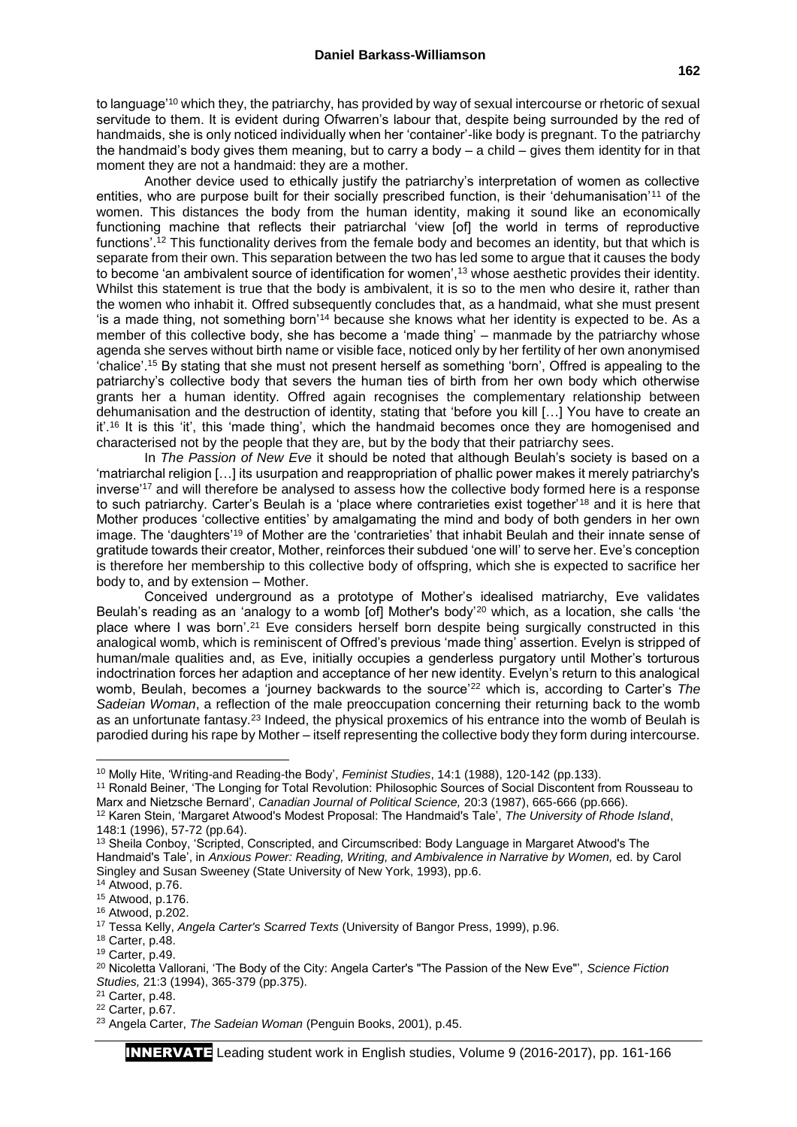to language'<sup>10</sup> which they, the patriarchy, has provided by way of sexual intercourse or rhetoric of sexual servitude to them. It is evident during Ofwarren's labour that, despite being surrounded by the red of handmaids, she is only noticed individually when her 'container'-like body is pregnant. To the patriarchy the handmaid's body gives them meaning, but to carry a body – a child – gives them identity for in that moment they are not a handmaid: they are a mother.

Another device used to ethically justify the patriarchy's interpretation of women as collective entities, who are purpose built for their socially prescribed function, is their 'dehumanisation'<sup>11</sup> of the women. This distances the body from the human identity, making it sound like an economically functioning machine that reflects their patriarchal 'view [of] the world in terms of reproductive functions'.<sup>12</sup> This functionality derives from the female body and becomes an identity, but that which is separate from their own. This separation between the two has led some to argue that it causes the body to become 'an ambivalent source of identification for women',<sup>13</sup> whose aesthetic provides their identity. Whilst this statement is true that the body is ambivalent, it is so to the men who desire it, rather than the women who inhabit it. Offred subsequently concludes that, as a handmaid, what she must present 'is a made thing, not something born'<sup>14</sup> because she knows what her identity is expected to be. As a member of this collective body, she has become a 'made thing' – manmade by the patriarchy whose agenda she serves without birth name or visible face, noticed only by her fertility of her own anonymised 'chalice'.<sup>15</sup> By stating that she must not present herself as something 'born', Offred is appealing to the patriarchy's collective body that severs the human ties of birth from her own body which otherwise grants her a human identity. Offred again recognises the complementary relationship between dehumanisation and the destruction of identity, stating that 'before you kill […] You have to create an it'.<sup>16</sup> It is this 'it', this 'made thing', which the handmaid becomes once they are homogenised and characterised not by the people that they are, but by the body that their patriarchy sees.

In *The Passion of New Eve* it should be noted that although Beulah's society is based on a 'matriarchal religion […] its usurpation and reappropriation of phallic power makes it merely patriarchy's inverse'<sup>17</sup> and will therefore be analysed to assess how the collective body formed here is a response to such patriarchy. Carter's Beulah is a 'place where contrarieties exist together'<sup>18</sup> and it is here that Mother produces 'collective entities' by amalgamating the mind and body of both genders in her own image. The 'daughters'<sup>19</sup> of Mother are the 'contrarieties' that inhabit Beulah and their innate sense of gratitude towards their creator, Mother, reinforces their subdued 'one will' to serve her. Eve's conception is therefore her membership to this collective body of offspring, which she is expected to sacrifice her body to, and by extension – Mother.

Conceived underground as a prototype of Mother's idealised matriarchy, Eve validates Beulah's reading as an 'analogy to a womb [of] Mother's body<sup>'20</sup> which, as a location, she calls 'the place where I was born'.<sup>21</sup> Eve considers herself born despite being surgically constructed in this analogical womb, which is reminiscent of Offred's previous 'made thing' assertion. Evelyn is stripped of human/male qualities and, as Eve, initially occupies a genderless purgatory until Mother's torturous indoctrination forces her adaption and acceptance of her new identity. Evelyn's return to this analogical womb, Beulah, becomes a 'journey backwards to the source'<sup>22</sup> which is, according to Carter's The *Sadeian Woman*, a reflection of the male preoccupation concerning their returning back to the womb as an unfortunate fantasy.<sup>23</sup> Indeed, the physical proxemics of his entrance into the womb of Beulah is parodied during his rape by Mother – itself representing the collective body they form during intercourse.

**.** 

<sup>10</sup> Molly Hite, 'Writing-and Reading-the Body', *Feminist Studies*, 14:1 (1988), 120-142 (pp.133).

<sup>11</sup> Ronald Beiner, 'The Longing for Total Revolution: Philosophic Sources of Social Discontent from Rousseau to Marx and Nietzsche Bernard', *Canadian Journal of Political Science,* 20:3 (1987), 665-666 (pp.666).

<sup>12</sup> Karen Stein, 'Margaret Atwood's Modest Proposal: The Handmaid's Tale', *The University of Rhode Island*, 148:1 (1996), 57-72 (pp.64).

<sup>&</sup>lt;sup>13</sup> Sheila Conboy, 'Scripted, Conscripted, and Circumscribed: Body Language in Margaret Atwood's The Handmaid's Tale', in *Anxious Power: Reading, Writing, and Ambivalence in Narrative by Women, ed. by Carol* Singley and Susan Sweeney (State University of New York, 1993), pp.6.

<sup>14</sup> Atwood, p.76.

<sup>15</sup> Atwood, p.176.

<sup>16</sup> Atwood, p.202.

<sup>17</sup> Tessa Kelly, *Angela Carter's Scarred Texts* (University of Bangor Press, 1999), p.96.

<sup>18</sup> Carter, p.48.

<sup>19</sup> Carter, p.49.

<sup>20</sup> Nicoletta Vallorani, 'The Body of the City: Angela Carter's "The Passion of the New Eve"', *Science Fiction Studies,* 21:3 (1994), 365-379 (pp.375).

<sup>21</sup> Carter, p.48.

<sup>22</sup> Carter, p.67.

<sup>23</sup> Angela Carter, *The Sadeian Woman* (Penguin Books, 2001), p.45.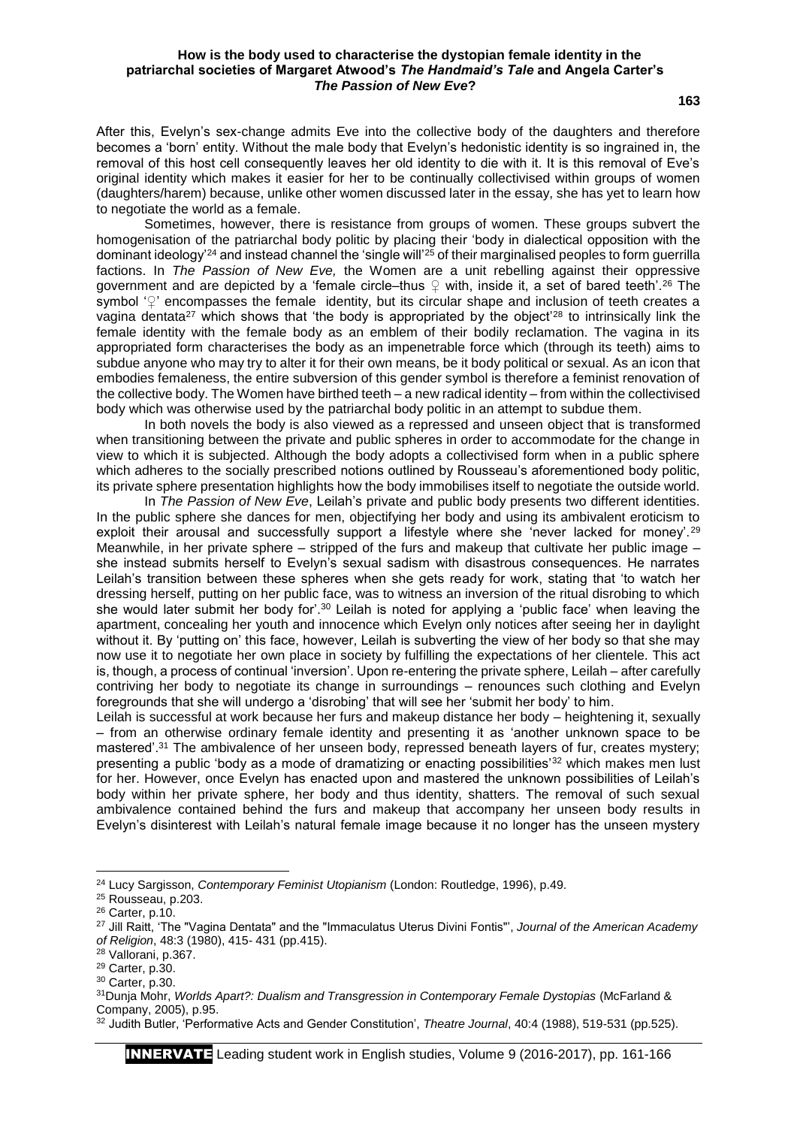#### **How is the body used to characterise the dystopian female identity in the patriarchal societies of Margaret Atwood's** *The Handmaid's Tale* **and Angela Carter's**  *The Passion of New Eve***?**

After this, Evelyn's sex-change admits Eve into the collective body of the daughters and therefore becomes a 'born' entity. Without the male body that Evelyn's hedonistic identity is so ingrained in, the removal of this host cell consequently leaves her old identity to die with it. It is this removal of Eve's original identity which makes it easier for her to be continually collectivised within groups of women (daughters/harem) because, unlike other women discussed later in the essay, she has yet to learn how to negotiate the world as a female.

Sometimes, however, there is resistance from groups of women. These groups subvert the homogenisation of the patriarchal body politic by placing their 'body in dialectical opposition with the dominant ideology'<sup>24</sup> and instead channel the 'single will'<sup>25</sup> of their marginalised peoples to form guerrilla factions. In *The Passion of New Eve,* the Women are a unit rebelling against their oppressive government and are depicted by a 'female circle–thus  $\mathcal Q$  with, inside it, a set of bared teeth'.<sup>26</sup> The symbol '♀' encompasses the female identity, but its circular shape and inclusion of teeth creates a vagina dentata<sup>27</sup> which shows that 'the body is appropriated by the object<sup>'28</sup> to intrinsically link the female identity with the female body as an emblem of their bodily reclamation. The vagina in its appropriated form characterises the body as an impenetrable force which (through its teeth) aims to subdue anyone who may try to alter it for their own means, be it body political or sexual. As an icon that embodies femaleness, the entire subversion of this gender symbol is therefore a feminist renovation of the collective body. The Women have birthed teeth – a new radical identity – from within the collectivised body which was otherwise used by the patriarchal body politic in an attempt to subdue them.

In both novels the body is also viewed as a repressed and unseen object that is transformed when transitioning between the private and public spheres in order to accommodate for the change in view to which it is subjected. Although the body adopts a collectivised form when in a public sphere which adheres to the socially prescribed notions outlined by Rousseau's aforementioned body politic, its private sphere presentation highlights how the body immobilises itself to negotiate the outside world.

In *The Passion of New Eve*, Leilah's private and public body presents two different identities. In the public sphere she dances for men, objectifying her body and using its ambivalent eroticism to exploit their arousal and successfully support a lifestyle where she 'never lacked for money'.<sup>29</sup> Meanwhile, in her private sphere – stripped of the furs and makeup that cultivate her public image – she instead submits herself to Evelyn's sexual sadism with disastrous consequences. He narrates Leilah's transition between these spheres when she gets ready for work, stating that 'to watch her dressing herself, putting on her public face, was to witness an inversion of the ritual disrobing to which she would later submit her body for'.<sup>30</sup> Leilah is noted for applying a 'public face' when leaving the apartment, concealing her youth and innocence which Evelyn only notices after seeing her in daylight without it. By 'putting on' this face, however, Leilah is subverting the view of her body so that she may now use it to negotiate her own place in society by fulfilling the expectations of her clientele. This act is, though, a process of continual 'inversion'. Upon re-entering the private sphere, Leilah – after carefully contriving her body to negotiate its change in surroundings – renounces such clothing and Evelyn foregrounds that she will undergo a 'disrobing' that will see her 'submit her body' to him.

Leilah is successful at work because her furs and makeup distance her body – heightening it, sexually – from an otherwise ordinary female identity and presenting it as 'another unknown space to be mastered'.<sup>31</sup> The ambivalence of her unseen body, repressed beneath layers of fur, creates mystery; presenting a public 'body as a mode of dramatizing or enacting possibilities'<sup>32</sup> which makes men lust for her. However, once Evelyn has enacted upon and mastered the unknown possibilities of Leilah's body within her private sphere, her body and thus identity, shatters. The removal of such sexual ambivalence contained behind the furs and makeup that accompany her unseen body results in Evelyn's disinterest with Leilah's natural female image because it no longer has the unseen mystery

**.** 

<sup>24</sup> Lucy Sargisson, *Contemporary Feminist Utopianism* (London: Routledge, 1996), p.49.

<sup>25</sup> Rousseau, p.203.

<sup>26</sup> Carter, p.10.

<sup>27</sup> Jill Raitt, 'The "Vagina Dentata" and the "Immaculatus Uterus Divini Fontis"', *Journal of the American Academy of Religion*, 48:3 (1980), 415- 431 (pp.415).

<sup>28</sup> Vallorani, p.367.

<sup>29</sup> Carter, p.30.

<sup>30</sup> Carter, p.30.

<sup>31</sup>Dunja Mohr, *Worlds Apart?: Dualism and Transgression in Contemporary Female Dystopias* (McFarland & Company, 2005), p.95.

<sup>32</sup> Judith Butler, 'Performative Acts and Gender Constitution', *Theatre Journal*, 40:4 (1988), 519-531 (pp.525).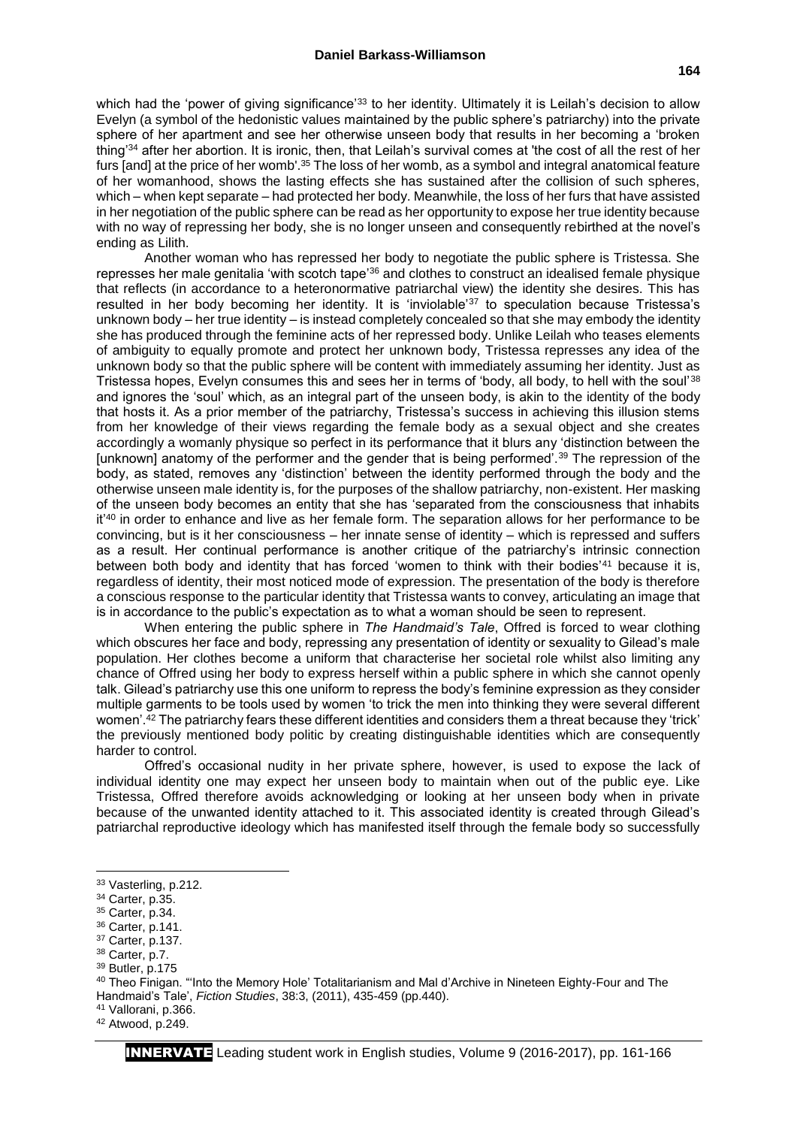which had the 'power of giving significance'<sup>33</sup> to her identity. Ultimately it is Leilah's decision to allow Evelyn (a symbol of the hedonistic values maintained by the public sphere's patriarchy) into the private sphere of her apartment and see her otherwise unseen body that results in her becoming a 'broken thing'<sup>34</sup> after her abortion. It is ironic, then, that Leilah's survival comes at 'the cost of all the rest of her furs [and] at the price of her womb'.<sup>35</sup> The loss of her womb, as a symbol and integral anatomical feature of her womanhood, shows the lasting effects she has sustained after the collision of such spheres, which – when kept separate – had protected her body. Meanwhile, the loss of her furs that have assisted in her negotiation of the public sphere can be read as her opportunity to expose her true identity because with no way of repressing her body, she is no longer unseen and consequently rebirthed at the novel's ending as Lilith.

Another woman who has repressed her body to negotiate the public sphere is Tristessa. She represses her male genitalia 'with scotch tape'<sup>36</sup> and clothes to construct an idealised female physique that reflects (in accordance to a heteronormative patriarchal view) the identity she desires. This has resulted in her body becoming her identity. It is 'inviolable'<sup>37</sup> to speculation because Tristessa's unknown body – her true identity – is instead completely concealed so that she may embody the identity she has produced through the feminine acts of her repressed body. Unlike Leilah who teases elements of ambiguity to equally promote and protect her unknown body, Tristessa represses any idea of the unknown body so that the public sphere will be content with immediately assuming her identity. Just as Tristessa hopes, Evelyn consumes this and sees her in terms of 'body, all body, to hell with the soul'<sup>38</sup> and ignores the 'soul' which, as an integral part of the unseen body, is akin to the identity of the body that hosts it. As a prior member of the patriarchy, Tristessa's success in achieving this illusion stems from her knowledge of their views regarding the female body as a sexual object and she creates accordingly a womanly physique so perfect in its performance that it blurs any 'distinction between the [unknown] anatomy of the performer and the gender that is being performed'.<sup>39</sup> The repression of the body, as stated, removes any 'distinction' between the identity performed through the body and the otherwise unseen male identity is, for the purposes of the shallow patriarchy, non-existent. Her masking of the unseen body becomes an entity that she has 'separated from the consciousness that inhabits it'<sup>40</sup> in order to enhance and live as her female form. The separation allows for her performance to be convincing, but is it her consciousness – her innate sense of identity – which is repressed and suffers as a result. Her continual performance is another critique of the patriarchy's intrinsic connection between both body and identity that has forced 'women to think with their bodies'<sup>41</sup> because it is, regardless of identity, their most noticed mode of expression. The presentation of the body is therefore a conscious response to the particular identity that Tristessa wants to convey, articulating an image that is in accordance to the public's expectation as to what a woman should be seen to represent.

When entering the public sphere in *The Handmaid's Tale*, Offred is forced to wear clothing which obscures her face and body, repressing any presentation of identity or sexuality to Gilead's male population. Her clothes become a uniform that characterise her societal role whilst also limiting any chance of Offred using her body to express herself within a public sphere in which she cannot openly talk. Gilead's patriarchy use this one uniform to repress the body's feminine expression as they consider multiple garments to be tools used by women 'to trick the men into thinking they were several different women'.<sup>42</sup> The patriarchy fears these different identities and considers them a threat because they 'trick' the previously mentioned body politic by creating distinguishable identities which are consequently harder to control.

Offred's occasional nudity in her private sphere, however, is used to expose the lack of individual identity one may expect her unseen body to maintain when out of the public eye. Like Tristessa, Offred therefore avoids acknowledging or looking at her unseen body when in private because of the unwanted identity attached to it. This associated identity is created through Gilead's patriarchal reproductive ideology which has manifested itself through the female body so successfully

**.** 

<sup>38</sup> Carter, p.7.

<sup>33</sup> Vasterling, p.212.

<sup>34</sup> Carter, p.35.

<sup>35</sup> Carter, p.34.

<sup>36</sup> Carter, p.141.

<sup>37</sup> Carter, p.137.

<sup>39</sup> Butler, p.175

<sup>40</sup> Theo Finigan. "'Into the Memory Hole' Totalitarianism and Mal d'Archive in Nineteen Eighty-Four and The Handmaid's Tale', *Fiction Studies*, 38:3, (2011), 435-459 (pp.440).

<sup>41</sup> Vallorani, p.366.

<sup>42</sup> Atwood, p.249.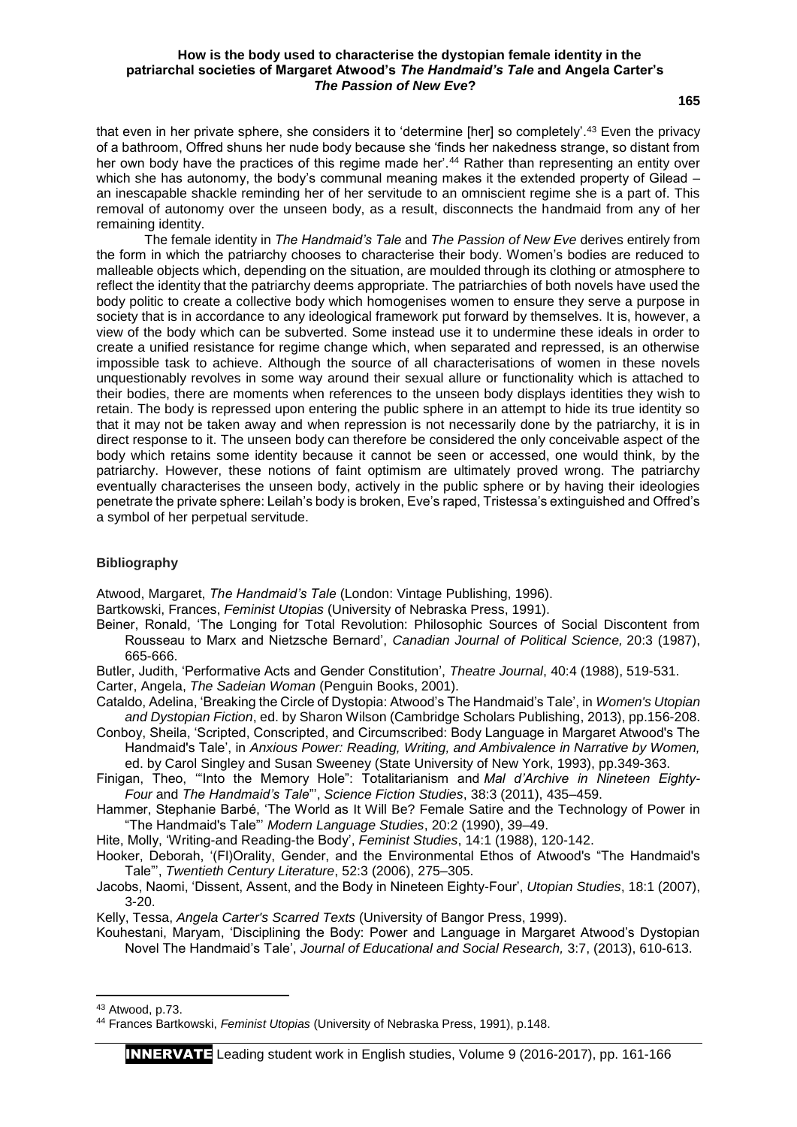#### **How is the body used to characterise the dystopian female identity in the patriarchal societies of Margaret Atwood's** *The Handmaid's Tale* **and Angela Carter's**  *The Passion of New Eve***?**

**165**

that even in her private sphere, she considers it to 'determine [her] so completely'.<sup>43</sup> Even the privacy of a bathroom, Offred shuns her nude body because she 'finds her nakedness strange, so distant from her own body have the practices of this regime made her'.<sup>44</sup> Rather than representing an entity over which she has autonomy, the body's communal meaning makes it the extended property of Gilead – an inescapable shackle reminding her of her servitude to an omniscient regime she is a part of. This removal of autonomy over the unseen body, as a result, disconnects the handmaid from any of her remaining identity.

The female identity in *The Handmaid's Tale* and *The Passion of New Eve* derives entirely from the form in which the patriarchy chooses to characterise their body. Women's bodies are reduced to malleable objects which, depending on the situation, are moulded through its clothing or atmosphere to reflect the identity that the patriarchy deems appropriate. The patriarchies of both novels have used the body politic to create a collective body which homogenises women to ensure they serve a purpose in society that is in accordance to any ideological framework put forward by themselves. It is, however, a view of the body which can be subverted. Some instead use it to undermine these ideals in order to create a unified resistance for regime change which, when separated and repressed, is an otherwise impossible task to achieve. Although the source of all characterisations of women in these novels unquestionably revolves in some way around their sexual allure or functionality which is attached to their bodies, there are moments when references to the unseen body displays identities they wish to retain. The body is repressed upon entering the public sphere in an attempt to hide its true identity so that it may not be taken away and when repression is not necessarily done by the patriarchy, it is in direct response to it. The unseen body can therefore be considered the only conceivable aspect of the body which retains some identity because it cannot be seen or accessed, one would think, by the patriarchy. However, these notions of faint optimism are ultimately proved wrong. The patriarchy eventually characterises the unseen body, actively in the public sphere or by having their ideologies penetrate the private sphere: Leilah's body is broken, Eve's raped, Tristessa's extinguished and Offred's a symbol of her perpetual servitude.

### **Bibliography**

Atwood, Margaret, *The Handmaid's Tale* (London: Vintage Publishing, 1996).

Bartkowski, Frances, *Feminist Utopias* (University of Nebraska Press, 1991).

- Beiner, Ronald, 'The Longing for Total Revolution: Philosophic Sources of Social Discontent from Rousseau to Marx and Nietzsche Bernard', *Canadian Journal of Political Science,* 20:3 (1987), 665-666.
- Butler, Judith, 'Performative Acts and Gender Constitution', *Theatre Journal*, 40:4 (1988), 519-531.
- Carter, Angela, *The Sadeian Woman* (Penguin Books, 2001).
- Cataldo, Adelina, 'Breaking the Circle of Dystopia: Atwood's The Handmaid's Tale', in *Women's Utopian and Dystopian Fiction*, ed. by Sharon Wilson (Cambridge Scholars Publishing, 2013), pp.156-208.

Conboy, Sheila, 'Scripted, Conscripted, and Circumscribed: Body Language in Margaret Atwood's The Handmaid's Tale', in *Anxious Power: Reading, Writing, and Ambivalence in Narrative by Women,* 

ed. by Carol Singley and Susan Sweeney (State University of New York, 1993), pp.349-363.

- Finigan, Theo, '"Into the Memory Hole": Totalitarianism and *Mal d'Archive in Nineteen Eighty-Four* and *The Handmaid's Tale*"', *Science Fiction Studies*, 38:3 (2011), 435–459.
- Hammer, Stephanie Barbé, 'The World as It Will Be? Female Satire and the Technology of Power in "The Handmaid's Tale"' *Modern Language Studies*, 20:2 (1990), 39–49.

Hite, Molly, 'Writing-and Reading-the Body', *Feminist Studies*, 14:1 (1988), 120-142.

- Hooker, Deborah, '(Fl)Orality, Gender, and the Environmental Ethos of Atwood's "The Handmaid's Tale"', *Twentieth Century Literature*, 52:3 (2006), 275–305.
- Jacobs, Naomi, 'Dissent, Assent, and the Body in Nineteen Eighty-Four', *Utopian Studies*, 18:1 (2007), 3-20.

Kelly, Tessa, *Angela Carter's Scarred Texts* (University of Bangor Press, 1999).

Kouhestani, Maryam, 'Disciplining the Body: Power and Language in Margaret Atwood's Dystopian Novel The Handmaid's Tale', *Journal of Educational and Social Research,* 3:7, (2013), 610-613.

**.** 

<sup>43</sup> Atwood, p.73.

<sup>44</sup> Frances Bartkowski, *Feminist Utopias* (University of Nebraska Press, 1991), p.148.